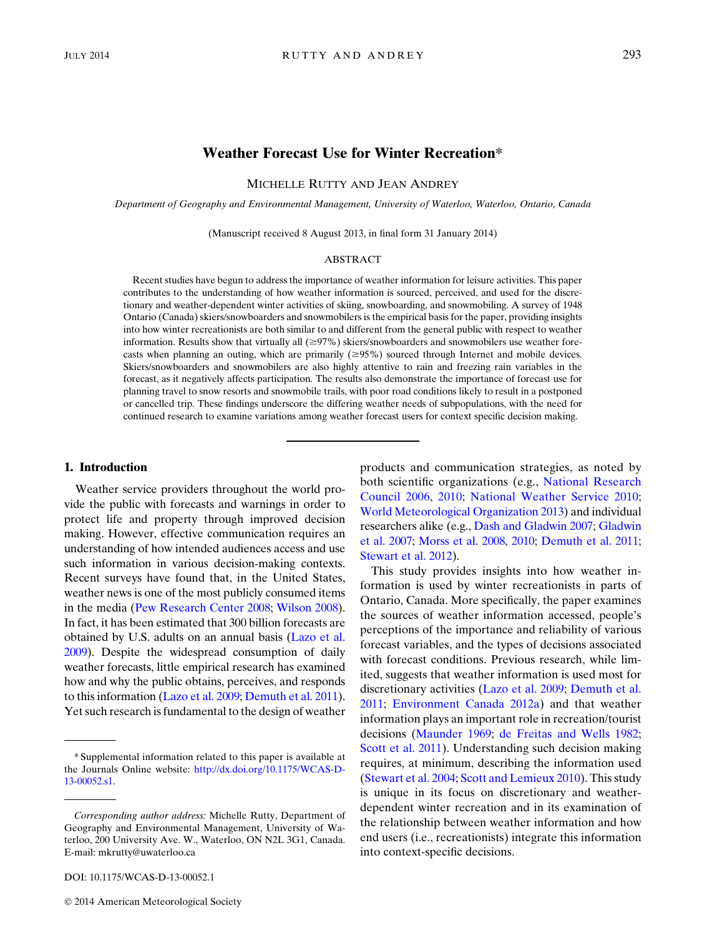# Weather Forecast Use for Winter Recreation\*

MICHELLE RUTTY AND JEAN ANDREY

Department of Geography and Environmental Management, University of Waterloo, Waterloo, Ontario, Canada

(Manuscript received 8 August 2013, in final form 31 January 2014)

#### ABSTRACT

Recent studies have begun to address the importance of weather information for leisure activities. This paper contributes to the understanding of how weather information is sourced, perceived, and used for the discretionary and weather-dependent winter activities of skiing, snowboarding, and snowmobiling. A survey of 1948 Ontario (Canada) skiers/snowboarders and snowmobilers is the empirical basis for the paper, providing insights into how winter recreationists are both similar to and different from the general public with respect to weather information. Results show that virtually all  $(\geq 97\%)$  skiers/snowboarders and snowmobilers use weather forecasts when planning an outing, which are primarily  $(\geq 95\%)$  sourced through Internet and mobile devices. Skiers/snowboarders and snowmobilers are also highly attentive to rain and freezing rain variables in the forecast, as it negatively affects participation. The results also demonstrate the importance of forecast use for planning travel to snow resorts and snowmobile trails, with poor road conditions likely to result in a postponed or cancelled trip. These findings underscore the differing weather needs of subpopulations, with the need for continued research to examine variations among weather forecast users for context specific decision making.

#### 1. Introduction

Weather service providers throughout the world provide the public with forecasts and warnings in order to protect life and property through improved decision making. However, effective communication requires an understanding of how intended audiences access and use such information in various decision-making contexts. Recent surveys have found that, in the United States, weather news is one of the most publicly consumed items in the media [\(Pew Research Center 2008](#page-13-0); [Wilson 2008](#page-13-1)). In fact, it has been estimated that 300 billion forecasts are obtained by U.S. adults on an annual basis [\(Lazo et al.](#page-13-2) [2009](#page-13-2)). Despite the widespread consumption of daily weather forecasts, little empirical research has examined how and why the public obtains, perceives, and responds to this information ([Lazo et al. 2009](#page-13-2); [Demuth et al. 2011](#page-12-0)). Yet such research is fundamental to the design of weather

products and communication strategies, as noted by both scientific organizations (e.g., [National Research](#page-13-3) [Council 2006](#page-13-3), [2010](#page-13-4); [National Weather Service 2010;](#page-13-5) [World Meteorological Organization 2013](#page-13-6)) and individual researchers alike (e.g., [Dash and Gladwin 2007;](#page-12-1) [Gladwin](#page-13-7) [et al. 2007;](#page-13-7) [Morss et al. 2008,](#page-13-8) [2010;](#page-13-9) [Demuth et al. 2011;](#page-12-0) [Stewart et al. 2012](#page-13-10)).

This study provides insights into how weather information is used by winter recreationists in parts of Ontario, Canada. More specifically, the paper examines the sources of weather information accessed, people's perceptions of the importance and reliability of various forecast variables, and the types of decisions associated with forecast conditions. Previous research, while limited, suggests that weather information is used most for discretionary activities [\(Lazo et al. 2009;](#page-13-2) [Demuth et al.](#page-12-0) [2011;](#page-12-0) [Environment Canada 2012a\)](#page-12-2) and that weather information plays an important role in recreation/tourist decisions ([Maunder 1969;](#page-13-11) [de Freitas and Wells 1982;](#page-12-3) [Scott et al. 2011\)](#page-13-12). Understanding such decision making requires, at minimum, describing the information used ([Stewart et al. 2004;](#page-13-13) [Scott and Lemieux 2010\)](#page-13-14). This study is unique in its focus on discretionary and weatherdependent winter recreation and in its examination of the relationship between weather information and how end users (i.e., recreationists) integrate this information into context-specific decisions.

<sup>\*</sup> Supplemental information related to this paper is available at the Journals Online website: [http://dx.doi.org/10.1175/WCAS-D-](http://dx.doi.org/10.1175/WCAS-D-13-00052.s1)[13-00052.s1](http://dx.doi.org/10.1175/WCAS-D-13-00052.s1).

Corresponding author address: Michelle Rutty, Department of Geography and Environmental Management, University of Waterloo, 200 University Ave. W., Waterloo, ON N2L 3G1, Canada. E-mail: [mkrutty@uwaterloo.ca](mailto:mkrutty@uwaterloo.ca)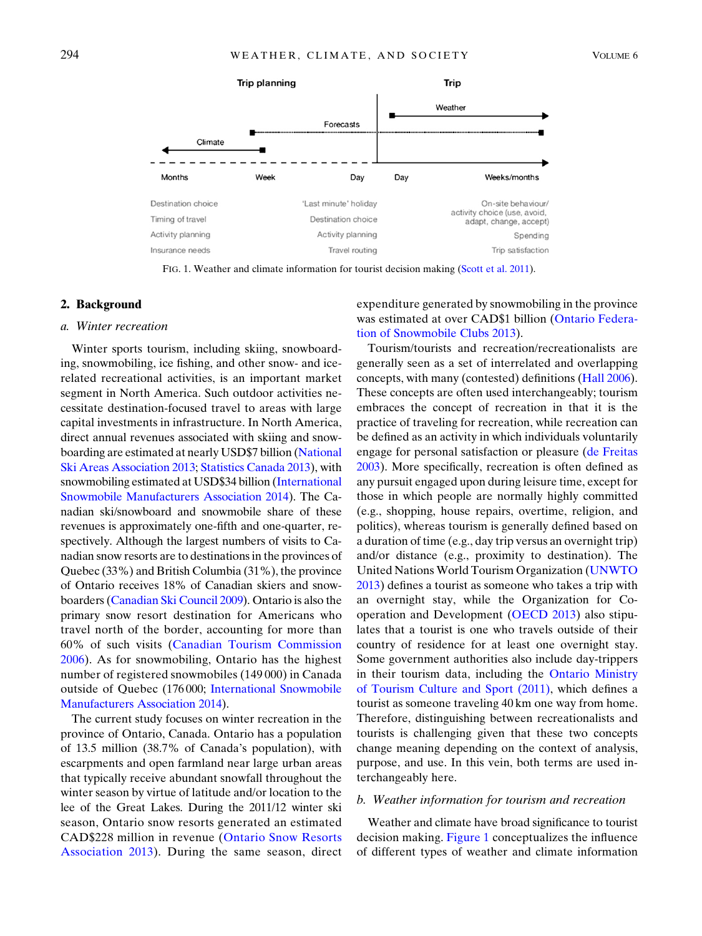<span id="page-1-0"></span>

FIG. 1. Weather and climate information for tourist decision making ([Scott et al. 2011\)](#page-13-12).

#### 2. Background

#### a. Winter recreation

Winter sports tourism, including skiing, snowboarding, snowmobiling, ice fishing, and other snow- and icerelated recreational activities, is an important market segment in North America. Such outdoor activities necessitate destination-focused travel to areas with large capital investments in infrastructure. In North America, direct annual revenues associated with skiing and snowboarding are estimated at nearly USD\$7 billion [\(National](#page-13-15) [Ski Areas Association 2013;](#page-13-15) [Statistics Canada 2013\)](#page-13-16), with snowmobiling estimated at USD\$34 billion [\(International](#page-13-17) [Snowmobile Manufacturers Association 2014](#page-13-17)). The Canadian ski/snowboard and snowmobile share of these revenues is approximately one-fifth and one-quarter, respectively. Although the largest numbers of visits to Canadian snow resorts are to destinations in the provinces of Quebec (33%) and British Columbia (31%), the province of Ontario receives 18% of Canadian skiers and snowboarders ([Canadian Ski Council 2009](#page-12-4)). Ontario is also the primary snow resort destination for Americans who travel north of the border, accounting for more than 60% of such visits [\(Canadian Tourism Commission](#page-12-5) [2006](#page-12-5)). As for snowmobiling, Ontario has the highest number of registered snowmobiles (149 000) in Canada outside of Quebec (176 000; [International Snowmobile](#page-13-17) [Manufacturers Association 2014](#page-13-17)).

The current study focuses on winter recreation in the province of Ontario, Canada. Ontario has a population of 13.5 million (38.7% of Canada's population), with escarpments and open farmland near large urban areas that typically receive abundant snowfall throughout the winter season by virtue of latitude and/or location to the lee of the Great Lakes. During the 2011/12 winter ski season, Ontario snow resorts generated an estimated CAD\$228 million in revenue [\(Ontario Snow Resorts](#page-13-18) [Association 2013\)](#page-13-18). During the same season, direct expenditure generated by snowmobiling in the province was estimated at over CAD\$1 billion ([Ontario Federa](#page-13-19)[tion of Snowmobile Clubs 2013\)](#page-13-19).

Tourism/tourists and recreation/recreationalists are generally seen as a set of interrelated and overlapping concepts, with many (contested) definitions [\(Hall 2006](#page-13-20)). These concepts are often used interchangeably; tourism embraces the concept of recreation in that it is the practice of traveling for recreation, while recreation can be defined as an activity in which individuals voluntarily engage for personal satisfaction or pleasure [\(de Freitas](#page-12-6) [2003\)](#page-12-6). More specifically, recreation is often defined as any pursuit engaged upon during leisure time, except for those in which people are normally highly committed (e.g., shopping, house repairs, overtime, religion, and politics), whereas tourism is generally defined based on a duration of time (e.g., day trip versus an overnight trip) and/or distance (e.g., proximity to destination). The United Nations World Tourism Organization [\(UNWTO](#page-13-21) [2013\)](#page-13-21) defines a tourist as someone who takes a trip with an overnight stay, while the Organization for Cooperation and Development [\(OECD 2013](#page-13-22)) also stipulates that a tourist is one who travels outside of their country of residence for at least one overnight stay. Some government authorities also include day-trippers in their tourism data, including the [Ontario Ministry](#page-13-23) [of Tourism Culture and Sport \(2011\)](#page-13-23), which defines a tourist as someone traveling 40 km one way from home. Therefore, distinguishing between recreationalists and tourists is challenging given that these two concepts change meaning depending on the context of analysis, purpose, and use. In this vein, both terms are used interchangeably here.

### b. Weather information for tourism and recreation

Weather and climate have broad significance to tourist decision making. [Figure 1](#page-1-0) conceptualizes the influence of different types of weather and climate information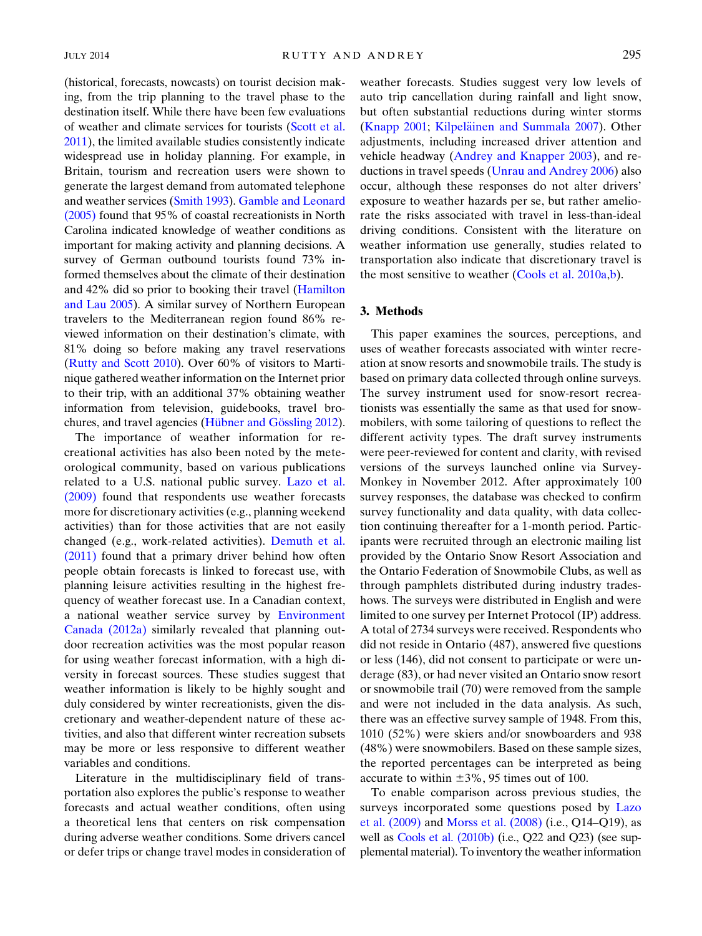(historical, forecasts, nowcasts) on tourist decision making, from the trip planning to the travel phase to the destination itself. While there have been few evaluations of weather and climate services for tourists ([Scott et al.](#page-13-12) [2011\)](#page-13-12), the limited available studies consistently indicate widespread use in holiday planning. For example, in Britain, tourism and recreation users were shown to generate the largest demand from automated telephone and weather services [\(Smith 1993\)](#page-13-24). [Gamble and Leonard](#page-13-25) [\(2005\)](#page-13-25) found that 95% of coastal recreationists in North Carolina indicated knowledge of weather conditions as important for making activity and planning decisions. A survey of German outbound tourists found 73% informed themselves about the climate of their destination and 42% did so prior to booking their travel [\(Hamilton](#page-13-26) [and Lau 2005](#page-13-26)). A similar survey of Northern European travelers to the Mediterranean region found 86% reviewed information on their destination's climate, with 81% doing so before making any travel reservations [\(Rutty and Scott 2010\)](#page-13-27). Over 60% of visitors to Martinique gathered weather information on the Internet prior to their trip, with an additional 37% obtaining weather information from television, guidebooks, travel brochures, and travel agencies (Hübner and Gössling 2012).

The importance of weather information for recreational activities has also been noted by the meteorological community, based on various publications related to a U.S. national public survey. [Lazo et al.](#page-13-2) [\(2009\)](#page-13-2) found that respondents use weather forecasts more for discretionary activities (e.g., planning weekend activities) than for those activities that are not easily changed (e.g., work-related activities). [Demuth et al.](#page-12-0) [\(2011\)](#page-12-0) found that a primary driver behind how often people obtain forecasts is linked to forecast use, with planning leisure activities resulting in the highest frequency of weather forecast use. In a Canadian context, a national weather service survey by [Environment](#page-12-2) [Canada \(2012a\)](#page-12-2) similarly revealed that planning outdoor recreation activities was the most popular reason for using weather forecast information, with a high diversity in forecast sources. These studies suggest that weather information is likely to be highly sought and duly considered by winter recreationists, given the discretionary and weather-dependent nature of these activities, and also that different winter recreation subsets may be more or less responsive to different weather variables and conditions.

Literature in the multidisciplinary field of transportation also explores the public's response to weather forecasts and actual weather conditions, often using a theoretical lens that centers on risk compensation during adverse weather conditions. Some drivers cancel or defer trips or change travel modes in consideration of

weather forecasts. Studies suggest very low levels of auto trip cancellation during rainfall and light snow, but often substantial reductions during winter storms  $(Knapp 2001; Kilpeläinen and Summala 2007)$  $(Knapp 2001; Kilpeläinen and Summala 2007)$  $(Knapp 2001; Kilpeläinen and Summala 2007)$ . Other adjustments, including increased driver attention and vehicle headway ([Andrey and Knapper 2003](#page-12-7)), and reductions in travel speeds ([Unrau and Andrey 2006\)](#page-13-31) also occur, although these responses do not alter drivers' exposure to weather hazards per se, but rather ameliorate the risks associated with travel in less-than-ideal driving conditions. Consistent with the literature on weather information use generally, studies related to transportation also indicate that discretionary travel is the most sensitive to weather [\(Cools et al. 2010a](#page-12-8),[b\)](#page-12-9).

#### 3. Methods

This paper examines the sources, perceptions, and uses of weather forecasts associated with winter recreation at snow resorts and snowmobile trails. The study is based on primary data collected through online surveys. The survey instrument used for snow-resort recreationists was essentially the same as that used for snowmobilers, with some tailoring of questions to reflect the different activity types. The draft survey instruments were peer-reviewed for content and clarity, with revised versions of the surveys launched online via Survey-Monkey in November 2012. After approximately 100 survey responses, the database was checked to confirm survey functionality and data quality, with data collection continuing thereafter for a 1-month period. Participants were recruited through an electronic mailing list provided by the Ontario Snow Resort Association and the Ontario Federation of Snowmobile Clubs, as well as through pamphlets distributed during industry tradeshows. The surveys were distributed in English and were limited to one survey per Internet Protocol (IP) address. A total of 2734 surveys were received. Respondents who did not reside in Ontario (487), answered five questions or less (146), did not consent to participate or were underage (83), or had never visited an Ontario snow resort or snowmobile trail (70) were removed from the sample and were not included in the data analysis. As such, there was an effective survey sample of 1948. From this, 1010 (52%) were skiers and/or snowboarders and 938 (48%) were snowmobilers. Based on these sample sizes, the reported percentages can be interpreted as being accurate to within  $\pm 3\%$ , 95 times out of 100.

To enable comparison across previous studies, the surveys incorporated some questions posed by [Lazo](#page-13-2) [et al. \(2009\)](#page-13-2) and [Morss et al. \(2008\)](#page-13-8) (i.e., Q14–Q19), as well as [Cools et al. \(2010b\)](#page-12-9) (i.e., Q22 and Q23) (see supplemental material). To inventory the weather information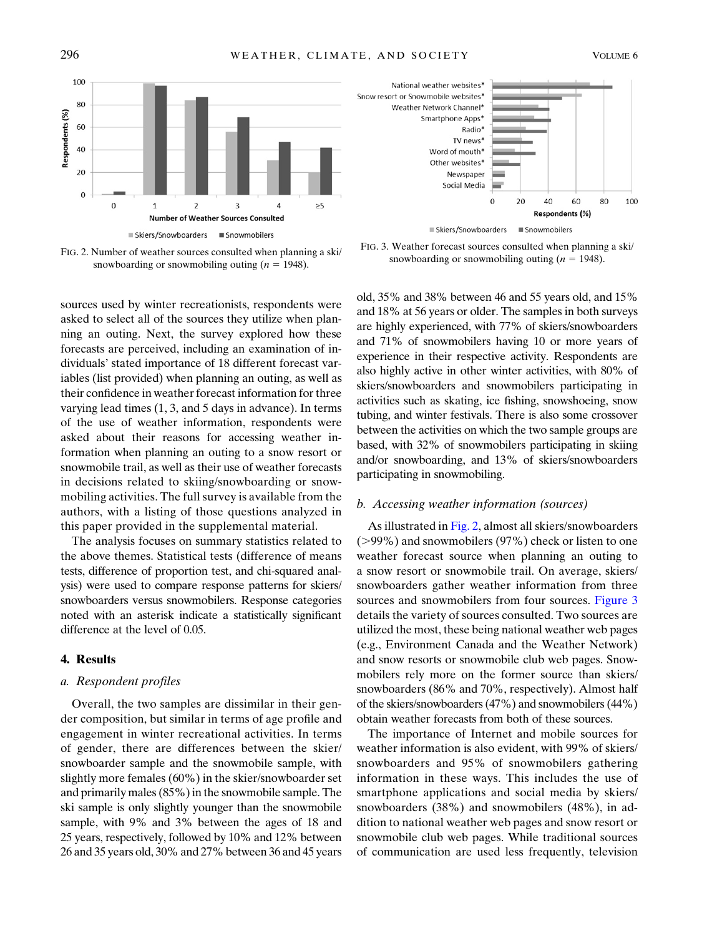<span id="page-3-0"></span>

FIG. 2. Number of weather sources consulted when planning a ski/ snowboarding or snowmobiling outing  $(n = 1948)$ .

sources used by winter recreationists, respondents were asked to select all of the sources they utilize when planning an outing. Next, the survey explored how these forecasts are perceived, including an examination of individuals' stated importance of 18 different forecast variables (list provided) when planning an outing, as well as their confidence in weather forecast information for three varying lead times (1, 3, and 5 days in advance). In terms of the use of weather information, respondents were asked about their reasons for accessing weather information when planning an outing to a snow resort or snowmobile trail, as well as their use of weather forecasts in decisions related to skiing/snowboarding or snowmobiling activities. The full survey is available from the authors, with a listing of those questions analyzed in this paper provided in the supplemental material.

The analysis focuses on summary statistics related to the above themes. Statistical tests (difference of means tests, difference of proportion test, and chi-squared analysis) were used to compare response patterns for skiers/ snowboarders versus snowmobilers. Response categories noted with an asterisk indicate a statistically significant difference at the level of 0.05.

# 4. Results

### a. Respondent profiles

Overall, the two samples are dissimilar in their gender composition, but similar in terms of age profile and engagement in winter recreational activities. In terms of gender, there are differences between the skier/ snowboarder sample and the snowmobile sample, with slightly more females (60%) in the skier/snowboarder set and primarily males (85%) in the snowmobile sample. The ski sample is only slightly younger than the snowmobile sample, with 9% and 3% between the ages of 18 and 25 years, respectively, followed by 10% and 12% between 26 and 35 years old, 30% and 27% between 36 and 45 years

<span id="page-3-1"></span>

FIG. 3. Weather forecast sources consulted when planning a ski/ snowboarding or snowmobiling outing  $(n = 1948)$ .

old, 35% and 38% between 46 and 55 years old, and 15% and 18% at 56 years or older. The samples in both surveys are highly experienced, with 77% of skiers/snowboarders and 71% of snowmobilers having 10 or more years of experience in their respective activity. Respondents are also highly active in other winter activities, with 80% of skiers/snowboarders and snowmobilers participating in activities such as skating, ice fishing, snowshoeing, snow tubing, and winter festivals. There is also some crossover between the activities on which the two sample groups are based, with 32% of snowmobilers participating in skiing and/or snowboarding, and 13% of skiers/snowboarders participating in snowmobiling.

### b. Accessing weather information (sources)

As illustrated in [Fig. 2](#page-3-0), almost all skiers/snowboarders  $($ >99%) and snowmobilers  $(97%)$  check or listen to one weather forecast source when planning an outing to a snow resort or snowmobile trail. On average, skiers/ snowboarders gather weather information from three sources and snowmobilers from four sources. [Figure 3](#page-3-1) details the variety of sources consulted. Two sources are utilized the most, these being national weather web pages (e.g., Environment Canada and the Weather Network) and snow resorts or snowmobile club web pages. Snowmobilers rely more on the former source than skiers/ snowboarders (86% and 70%, respectively). Almost half of the skiers/snowboarders (47%) and snowmobilers (44%) obtain weather forecasts from both of these sources.

The importance of Internet and mobile sources for weather information is also evident, with 99% of skiers/ snowboarders and 95% of snowmobilers gathering information in these ways. This includes the use of smartphone applications and social media by skiers/ snowboarders (38%) and snowmobilers (48%), in addition to national weather web pages and snow resort or snowmobile club web pages. While traditional sources of communication are used less frequently, television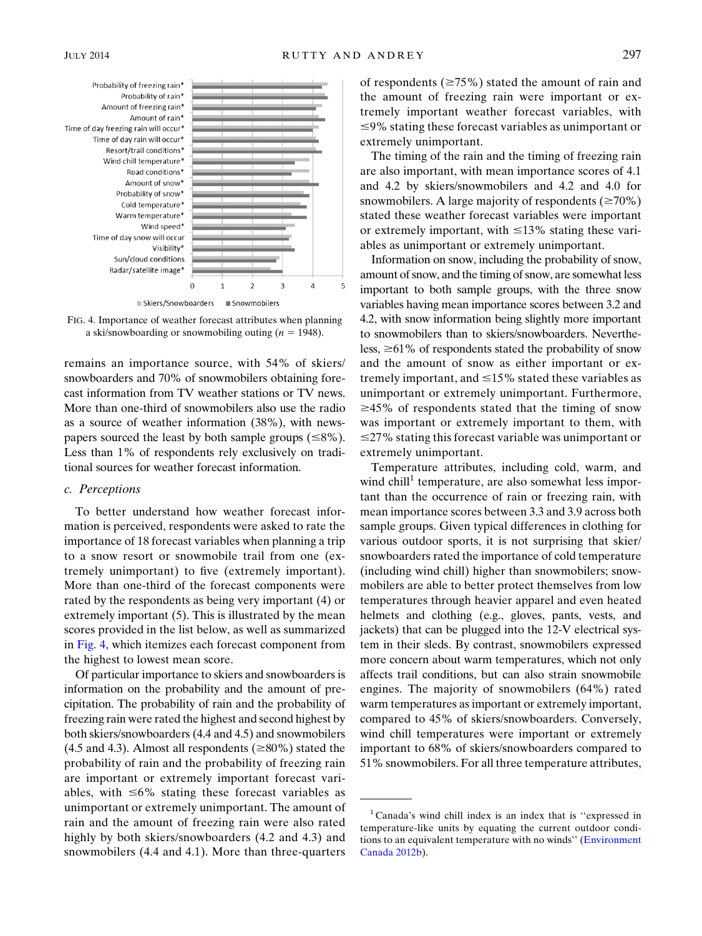<span id="page-4-0"></span>

Skiers/Snowboarders Snowmobilers

FIG. 4. Importance of weather forecast attributes when planning a ski/snowboarding or snowmobiling outing  $(n = 1948)$ .

remains an importance source, with 54% of skiers/ snowboarders and 70% of snowmobilers obtaining forecast information from TV weather stations or TV news. More than one-third of snowmobilers also use the radio as a source of weather information (38%), with newspapers sourced the least by both sample groups  $(\leq 8\%)$ . Less than 1% of respondents rely exclusively on traditional sources for weather forecast information.

## c. Perceptions

To better understand how weather forecast information is perceived, respondents were asked to rate the importance of 18 forecast variables when planning a trip to a snow resort or snowmobile trail from one (extremely unimportant) to five (extremely important). More than one-third of the forecast components were rated by the respondents as being very important (4) or extremely important (5). This is illustrated by the mean scores provided in the list below, as well as summarized in [Fig. 4](#page-4-0), which itemizes each forecast component from the highest to lowest mean score.

Of particular importance to skiers and snowboarders is information on the probability and the amount of precipitation. The probability of rain and the probability of freezing rain were rated the highest and second highest by both skiers/snowboarders (4.4 and 4.5) and snowmobilers (4.5 and 4.3). Almost all respondents ( $\geq 80\%$ ) stated the probability of rain and the probability of freezing rain are important or extremely important forecast variables, with  $\leq 6\%$  stating these forecast variables as unimportant or extremely unimportant. The amount of rain and the amount of freezing rain were also rated highly by both skiers/snowboarders (4.2 and 4.3) and snowmobilers (4.4 and 4.1). More than three-quarters

of respondents ( $\geq$ 75%) stated the amount of rain and the amount of freezing rain were important or extremely important weather forecast variables, with  $\leq$ 9% stating these forecast variables as unimportant or extremely unimportant.

The timing of the rain and the timing of freezing rain are also important, with mean importance scores of 4.1 and 4.2 by skiers/snowmobilers and 4.2 and 4.0 for snowmobilers. A large majority of respondents ( $\geq 70\%$ ) stated these weather forecast variables were important or extremely important, with  $\leq 13\%$  stating these variables as unimportant or extremely unimportant.

Information on snow, including the probability of snow, amount of snow, and the timing of snow, are somewhat less important to both sample groups, with the three snow variables having mean importance scores between 3.2 and 4.2, with snow information being slightly more important to snowmobilers than to skiers/snowboarders. Nevertheless,  $\geq 61\%$  of respondents stated the probability of snow and the amount of snow as either important or extremely important, and  $\leq$ 15% stated these variables as unimportant or extremely unimportant. Furthermore,  $\geq 45\%$  of respondents stated that the timing of snow was important or extremely important to them, with  $\leq$ 27% stating this forecast variable was unimportant or extremely unimportant.

Temperature attributes, including cold, warm, and wind chill<sup>1</sup> temperature, are also somewhat less important than the occurrence of rain or freezing rain, with mean importance scores between 3.3 and 3.9 across both sample groups. Given typical differences in clothing for various outdoor sports, it is not surprising that skier/ snowboarders rated the importance of cold temperature (including wind chill) higher than snowmobilers; snowmobilers are able to better protect themselves from low temperatures through heavier apparel and even heated helmets and clothing (e.g., gloves, pants, vests, and jackets) that can be plugged into the 12-V electrical system in their sleds. By contrast, snowmobilers expressed more concern about warm temperatures, which not only affects trail conditions, but can also strain snowmobile engines. The majority of snowmobilers (64%) rated warm temperatures as important or extremely important, compared to 45% of skiers/snowboarders. Conversely, wind chill temperatures were important or extremely important to 68% of skiers/snowboarders compared to 51% snowmobilers. For all three temperature attributes,

<sup>1</sup> Canada's wind chill index is an index that is ''expressed in temperature-like units by equating the current outdoor condi-tions to an equivalent temperature with no winds" [\(Environment](#page-12-10) [Canada 2012b\)](#page-12-10).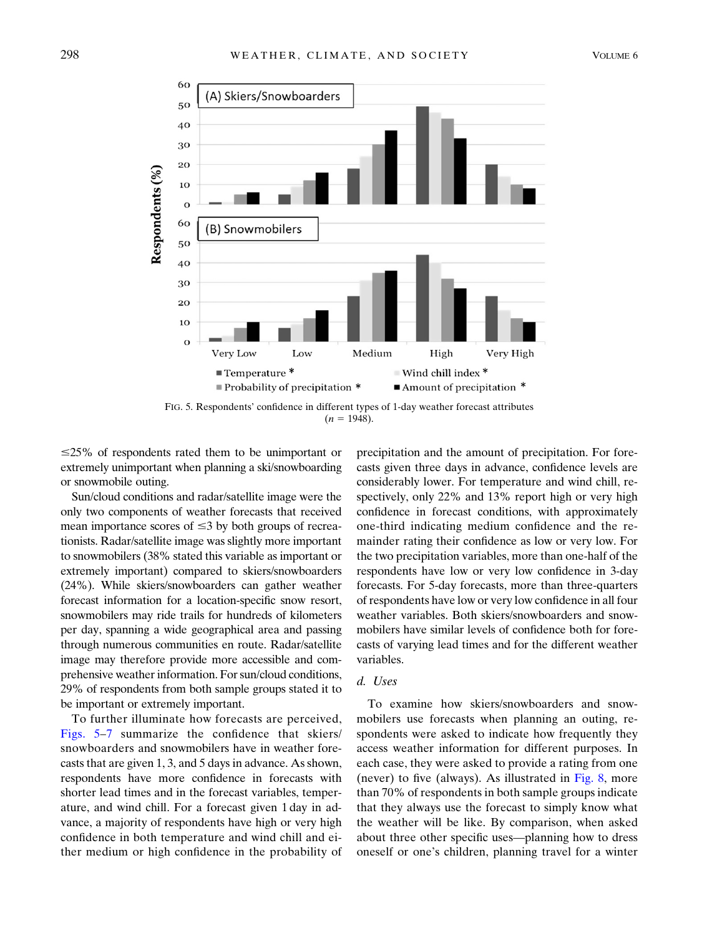<span id="page-5-0"></span>

 $(n = 1948).$ 

 $\leq$ 25% of respondents rated them to be unimportant or extremely unimportant when planning a ski/snowboarding or snowmobile outing.

Sun/cloud conditions and radar/satellite image were the only two components of weather forecasts that received mean importance scores of  $\leq$ 3 by both groups of recreationists. Radar/satellite image was slightly more important to snowmobilers (38% stated this variable as important or extremely important) compared to skiers/snowboarders (24%). While skiers/snowboarders can gather weather forecast information for a location-specific snow resort, snowmobilers may ride trails for hundreds of kilometers per day, spanning a wide geographical area and passing through numerous communities en route. Radar/satellite image may therefore provide more accessible and comprehensive weather information. For sun/cloud conditions, 29% of respondents from both sample groups stated it to be important or extremely important.

To further illuminate how forecasts are perceived, [Figs. 5](#page-5-0)–[7](#page-6-0) summarize the confidence that skiers/ snowboarders and snowmobilers have in weather forecasts that are given 1, 3, and 5 days in advance. As shown, respondents have more confidence in forecasts with shorter lead times and in the forecast variables, temperature, and wind chill. For a forecast given 1 day in advance, a majority of respondents have high or very high confidence in both temperature and wind chill and either medium or high confidence in the probability of precipitation and the amount of precipitation. For forecasts given three days in advance, confidence levels are considerably lower. For temperature and wind chill, respectively, only 22% and 13% report high or very high confidence in forecast conditions, with approximately one-third indicating medium confidence and the remainder rating their confidence as low or very low. For the two precipitation variables, more than one-half of the respondents have low or very low confidence in 3-day forecasts. For 5-day forecasts, more than three-quarters of respondents have low or very low confidence in all four weather variables. Both skiers/snowboarders and snowmobilers have similar levels of confidence both for forecasts of varying lead times and for the different weather variables.

# d. Uses

To examine how skiers/snowboarders and snowmobilers use forecasts when planning an outing, respondents were asked to indicate how frequently they access weather information for different purposes. In each case, they were asked to provide a rating from one (never) to five (always). As illustrated in [Fig. 8,](#page-7-0) more than 70% of respondents in both sample groups indicate that they always use the forecast to simply know what the weather will be like. By comparison, when asked about three other specific uses—planning how to dress oneself or one's children, planning travel for a winter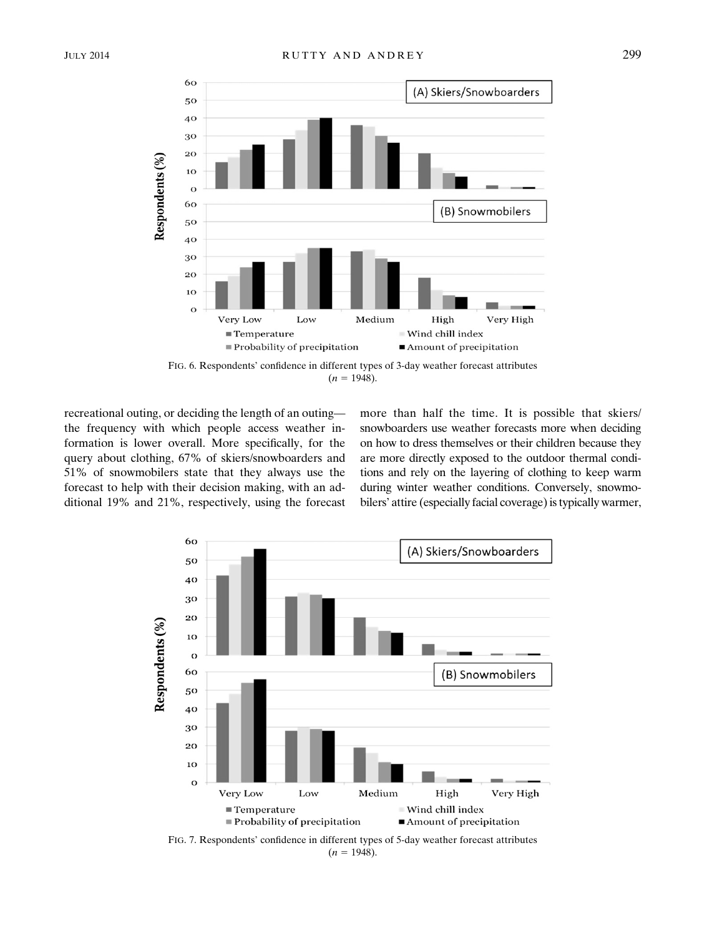

FIG. 6. Respondents' confidence in different types of 3-day weather forecast attributes  $(n = 1948).$ 

recreational outing, or deciding the length of an outing the frequency with which people access weather information is lower overall. More specifically, for the query about clothing, 67% of skiers/snowboarders and 51% of snowmobilers state that they always use the forecast to help with their decision making, with an additional 19% and 21%, respectively, using the forecast more than half the time. It is possible that skiers/ snowboarders use weather forecasts more when deciding on how to dress themselves or their children because they are more directly exposed to the outdoor thermal conditions and rely on the layering of clothing to keep warm during winter weather conditions. Conversely, snowmobilers' attire (especially facial coverage) is typically warmer,

<span id="page-6-0"></span>

FIG. 7. Respondents' confidence in different types of 5-day weather forecast attributes  $(n = 1948).$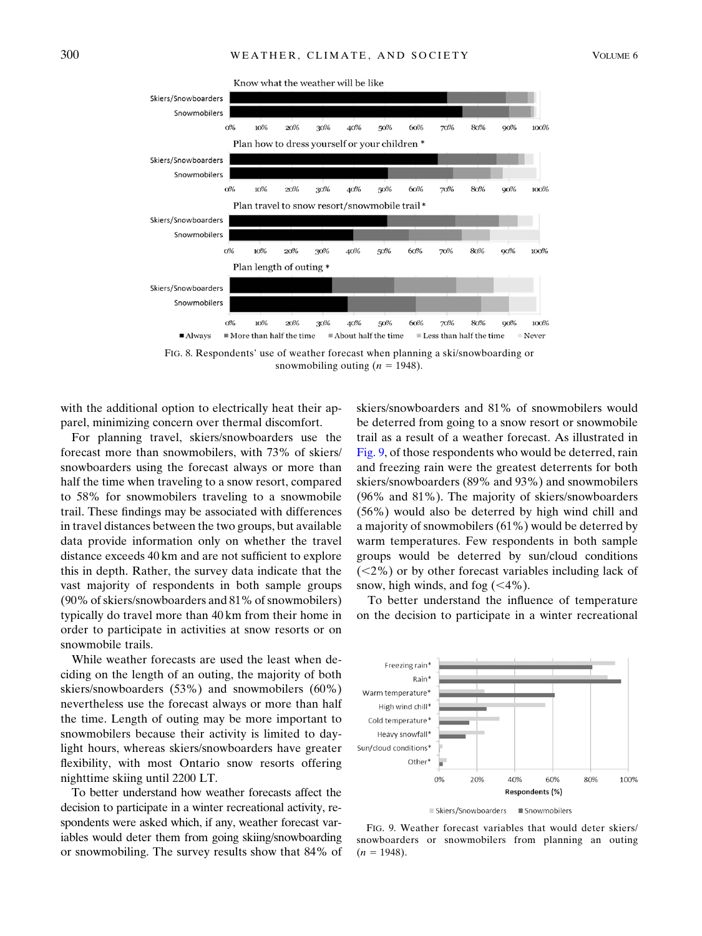<span id="page-7-0"></span>

FIG. 8. Respondents' use of weather forecast when planning a ski/snowboarding or snowmobiling outing  $(n = 1948)$ .

with the additional option to electrically heat their apparel, minimizing concern over thermal discomfort.

For planning travel, skiers/snowboarders use the forecast more than snowmobilers, with 73% of skiers/ snowboarders using the forecast always or more than half the time when traveling to a snow resort, compared to 58% for snowmobilers traveling to a snowmobile trail. These findings may be associated with differences in travel distances between the two groups, but available data provide information only on whether the travel distance exceeds 40 km and are not sufficient to explore this in depth. Rather, the survey data indicate that the vast majority of respondents in both sample groups (90% of skiers/snowboarders and 81% of snowmobilers) typically do travel more than 40 km from their home in order to participate in activities at snow resorts or on snowmobile trails.

While weather forecasts are used the least when deciding on the length of an outing, the majority of both skiers/snowboarders (53%) and snowmobilers (60%) nevertheless use the forecast always or more than half the time. Length of outing may be more important to snowmobilers because their activity is limited to daylight hours, whereas skiers/snowboarders have greater flexibility, with most Ontario snow resorts offering nighttime skiing until 2200 LT.

To better understand how weather forecasts affect the decision to participate in a winter recreational activity, respondents were asked which, if any, weather forecast variables would deter them from going skiing/snowboarding or snowmobiling. The survey results show that 84% of

skiers/snowboarders and 81% of snowmobilers would be deterred from going to a snow resort or snowmobile trail as a result of a weather forecast. As illustrated in [Fig. 9](#page-7-1), of those respondents who would be deterred, rain and freezing rain were the greatest deterrents for both skiers/snowboarders (89% and 93%) and snowmobilers (96% and 81%). The majority of skiers/snowboarders (56%) would also be deterred by high wind chill and a majority of snowmobilers (61%) would be deterred by warm temperatures. Few respondents in both sample groups would be deterred by sun/cloud conditions  $(<2%)$  or by other forecast variables including lack of snow, high winds, and fog  $( $4\%$ ).$ 

To better understand the influence of temperature on the decision to participate in a winter recreational

<span id="page-7-1"></span>

Skiers/Snowboarders ■ Snowmobilers

FIG. 9. Weather forecast variables that would deter skiers/ snowboarders or snowmobilers from planning an outing  $(n = 1948).$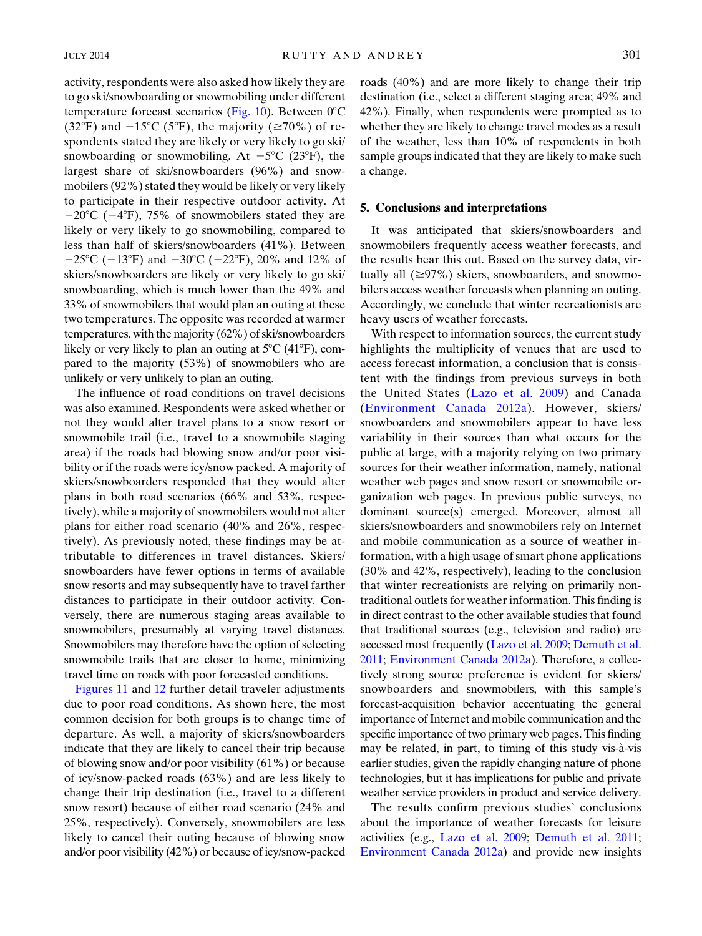activity, respondents were also asked how likely they are to go ski/snowboarding or snowmobiling under different temperature forecast scenarios ([Fig. 10](#page-9-0)). Between  $0^{\circ}$ C (32°F) and  $-15^{\circ}$ C (5°F), the majority ( $\geq 70\%$ ) of respondents stated they are likely or very likely to go ski/ snowboarding or snowmobiling. At  $-5^{\circ}C$  (23 $^{\circ}F$ ), the largest share of ski/snowboarders (96%) and snowmobilers (92%) stated they would be likely or very likely to participate in their respective outdoor activity. At  $-20^{\circ}$ C ( $-4^{\circ}$ F), 75% of snowmobilers stated they are likely or very likely to go snowmobiling, compared to less than half of skiers/snowboarders (41%). Between  $-25^{\circ}$ C ( $-13^{\circ}$ F) and  $-30^{\circ}$ C ( $-22^{\circ}$ F), 20% and 12% of skiers/snowboarders are likely or very likely to go ski/ snowboarding, which is much lower than the 49% and 33% of snowmobilers that would plan an outing at these two temperatures. The opposite was recorded at warmer temperatures, with the majority (62%) of ski/snowboarders likely or very likely to plan an outing at  $5^{\circ}$ C (41 $^{\circ}$ F), compared to the majority (53%) of snowmobilers who are unlikely or very unlikely to plan an outing.

The influence of road conditions on travel decisions was also examined. Respondents were asked whether or not they would alter travel plans to a snow resort or snowmobile trail (i.e., travel to a snowmobile staging area) if the roads had blowing snow and/or poor visibility or if the roads were icy/snow packed. A majority of skiers/snowboarders responded that they would alter plans in both road scenarios (66% and 53%, respectively), while a majority of snowmobilers would not alter plans for either road scenario (40% and 26%, respectively). As previously noted, these findings may be attributable to differences in travel distances. Skiers/ snowboarders have fewer options in terms of available snow resorts and may subsequently have to travel farther distances to participate in their outdoor activity. Conversely, there are numerous staging areas available to snowmobilers, presumably at varying travel distances. Snowmobilers may therefore have the option of selecting snowmobile trails that are closer to home, minimizing travel time on roads with poor forecasted conditions.

[Figures 11](#page-10-0) and [12](#page-10-1) further detail traveler adjustments due to poor road conditions. As shown here, the most common decision for both groups is to change time of departure. As well, a majority of skiers/snowboarders indicate that they are likely to cancel their trip because of blowing snow and/or poor visibility (61%) or because of icy/snow-packed roads (63%) and are less likely to change their trip destination (i.e., travel to a different snow resort) because of either road scenario (24% and 25%, respectively). Conversely, snowmobilers are less likely to cancel their outing because of blowing snow and/or poor visibility (42%) or because of icy/snow-packed roads (40%) and are more likely to change their trip destination (i.e., select a different staging area; 49% and 42%). Finally, when respondents were prompted as to whether they are likely to change travel modes as a result of the weather, less than 10% of respondents in both sample groups indicated that they are likely to make such a change.

#### 5. Conclusions and interpretations

It was anticipated that skiers/snowboarders and snowmobilers frequently access weather forecasts, and the results bear this out. Based on the survey data, virtually all  $(\geq 97\%)$  skiers, snowboarders, and snowmobilers access weather forecasts when planning an outing. Accordingly, we conclude that winter recreationists are heavy users of weather forecasts.

With respect to information sources, the current study highlights the multiplicity of venues that are used to access forecast information, a conclusion that is consistent with the findings from previous surveys in both the United States ([Lazo et al. 2009\)](#page-13-2) and Canada ([Environment Canada 2012a\)](#page-12-2). However, skiers/ snowboarders and snowmobilers appear to have less variability in their sources than what occurs for the public at large, with a majority relying on two primary sources for their weather information, namely, national weather web pages and snow resort or snowmobile organization web pages. In previous public surveys, no dominant source(s) emerged. Moreover, almost all skiers/snowboarders and snowmobilers rely on Internet and mobile communication as a source of weather information, with a high usage of smart phone applications (30% and 42%, respectively), leading to the conclusion that winter recreationists are relying on primarily nontraditional outlets for weather information. This finding is in direct contrast to the other available studies that found that traditional sources (e.g., television and radio) are accessed most frequently [\(Lazo et al. 2009;](#page-13-2) [Demuth et al.](#page-12-0) [2011](#page-12-0); [Environment Canada 2012a\)](#page-12-2). Therefore, a collectively strong source preference is evident for skiers/ snowboarders and snowmobilers, with this sample's forecast-acquisition behavior accentuating the general importance of Internet and mobile communication and the specific importance of two primary web pages. This finding may be related, in part, to timing of this study vis-à-vis earlier studies, given the rapidly changing nature of phone technologies, but it has implications for public and private weather service providers in product and service delivery.

The results confirm previous studies' conclusions about the importance of weather forecasts for leisure activities (e.g., [Lazo et al. 2009](#page-13-2); [Demuth et al. 2011;](#page-12-0) [Environment Canada 2012a](#page-12-2)) and provide new insights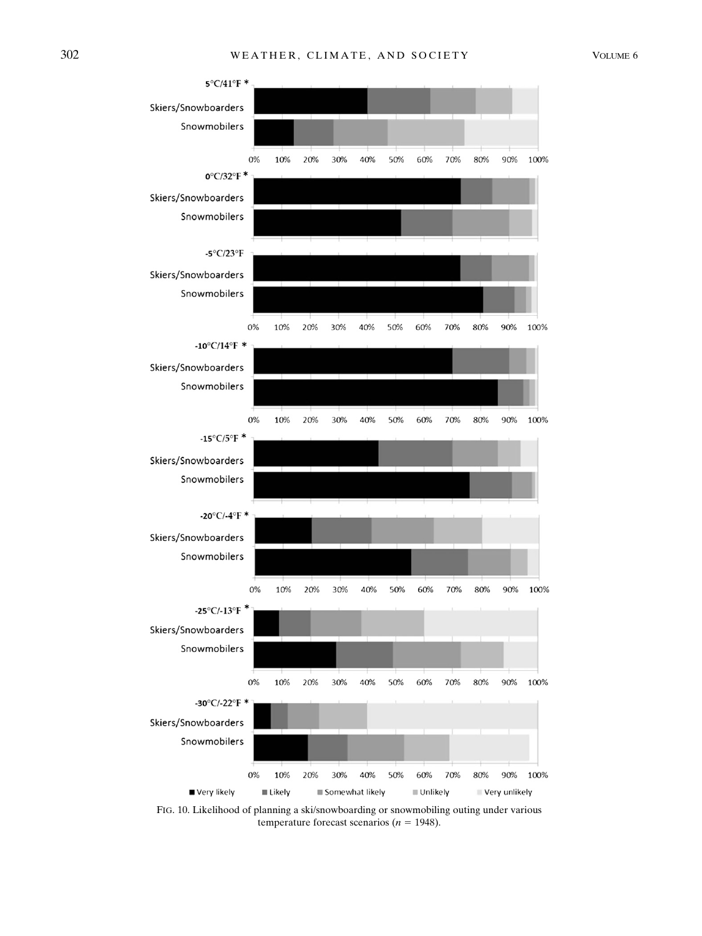<span id="page-9-0"></span>

FIG. 10. Likelihood of planning a ski/snowboarding or snowmobiling outing under various temperature forecast scenarios ( $n = 1948$ ).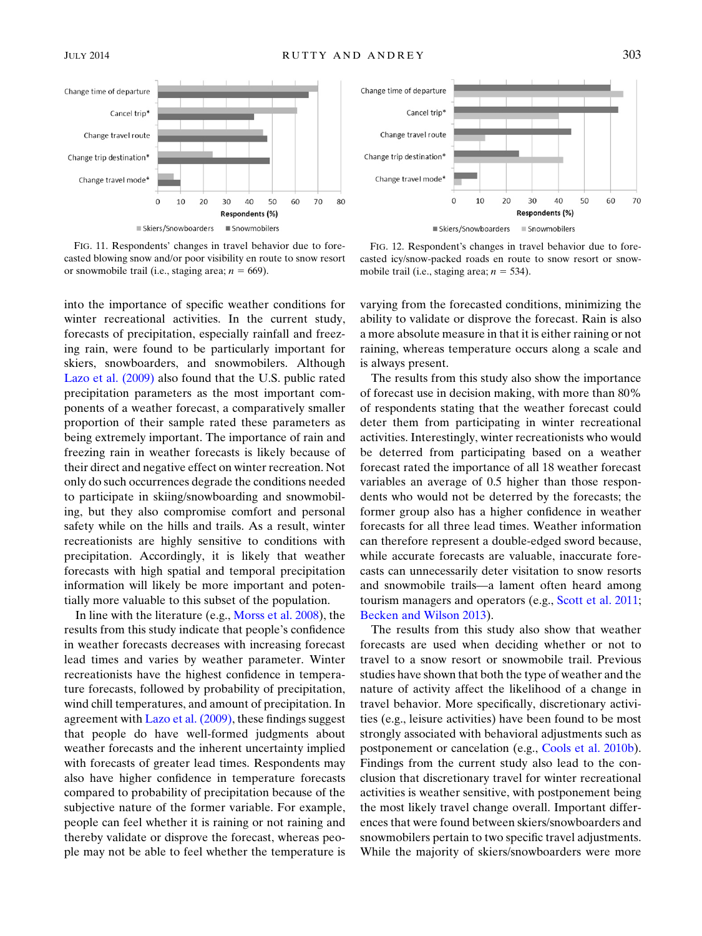<span id="page-10-0"></span>

FIG. 11. Respondents' changes in travel behavior due to forecasted blowing snow and/or poor visibility en route to snow resort or snowmobile trail (i.e., staging area;  $n = 669$ ).

into the importance of specific weather conditions for winter recreational activities. In the current study, forecasts of precipitation, especially rainfall and freezing rain, were found to be particularly important for skiers, snowboarders, and snowmobilers. Although [Lazo et al. \(2009\)](#page-13-2) also found that the U.S. public rated precipitation parameters as the most important components of a weather forecast, a comparatively smaller proportion of their sample rated these parameters as being extremely important. The importance of rain and freezing rain in weather forecasts is likely because of their direct and negative effect on winter recreation. Not only do such occurrences degrade the conditions needed to participate in skiing/snowboarding and snowmobiling, but they also compromise comfort and personal safety while on the hills and trails. As a result, winter recreationists are highly sensitive to conditions with precipitation. Accordingly, it is likely that weather forecasts with high spatial and temporal precipitation information will likely be more important and potentially more valuable to this subset of the population.

In line with the literature (e.g., [Morss et al. 2008](#page-13-8)), the results from this study indicate that people's confidence in weather forecasts decreases with increasing forecast lead times and varies by weather parameter. Winter recreationists have the highest confidence in temperature forecasts, followed by probability of precipitation, wind chill temperatures, and amount of precipitation. In agreement with [Lazo et al. \(2009\)](#page-13-2), these findings suggest that people do have well-formed judgments about weather forecasts and the inherent uncertainty implied with forecasts of greater lead times. Respondents may also have higher confidence in temperature forecasts compared to probability of precipitation because of the subjective nature of the former variable. For example, people can feel whether it is raining or not raining and thereby validate or disprove the forecast, whereas people may not be able to feel whether the temperature is

<span id="page-10-1"></span>

FIG. 12. Respondent's changes in travel behavior due to forecasted icy/snow-packed roads en route to snow resort or snowmobile trail (i.e., staging area;  $n = 534$ ).

varying from the forecasted conditions, minimizing the ability to validate or disprove the forecast. Rain is also a more absolute measure in that it is either raining or not raining, whereas temperature occurs along a scale and is always present.

The results from this study also show the importance of forecast use in decision making, with more than 80% of respondents stating that the weather forecast could deter them from participating in winter recreational activities. Interestingly, winter recreationists who would be deterred from participating based on a weather forecast rated the importance of all 18 weather forecast variables an average of 0.5 higher than those respondents who would not be deterred by the forecasts; the former group also has a higher confidence in weather forecasts for all three lead times. Weather information can therefore represent a double-edged sword because, while accurate forecasts are valuable, inaccurate forecasts can unnecessarily deter visitation to snow resorts and snowmobile trails—a lament often heard among tourism managers and operators (e.g., [Scott et al. 2011;](#page-13-12) [Becken and Wilson 2013\)](#page-12-11).

The results from this study also show that weather forecasts are used when deciding whether or not to travel to a snow resort or snowmobile trail. Previous studies have shown that both the type of weather and the nature of activity affect the likelihood of a change in travel behavior. More specifically, discretionary activities (e.g., leisure activities) have been found to be most strongly associated with behavioral adjustments such as postponement or cancelation (e.g., [Cools et al. 2010b](#page-12-9)). Findings from the current study also lead to the conclusion that discretionary travel for winter recreational activities is weather sensitive, with postponement being the most likely travel change overall. Important differences that were found between skiers/snowboarders and snowmobilers pertain to two specific travel adjustments. While the majority of skiers/snowboarders were more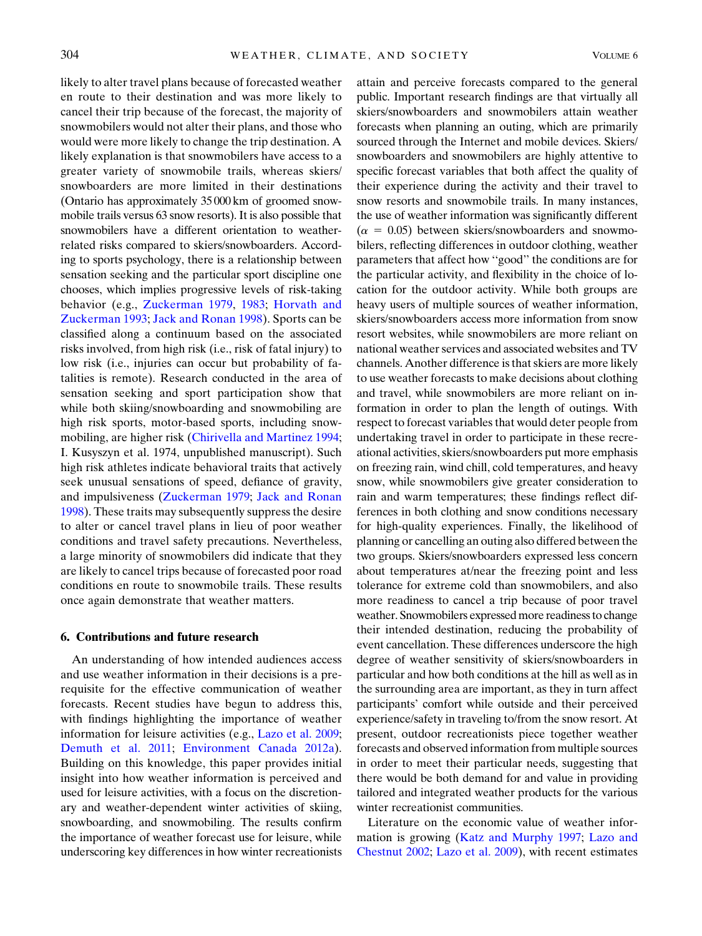likely to alter travel plans because of forecasted weather en route to their destination and was more likely to cancel their trip because of the forecast, the majority of snowmobilers would not alter their plans, and those who would were more likely to change the trip destination. A likely explanation is that snowmobilers have access to a greater variety of snowmobile trails, whereas skiers/ snowboarders are more limited in their destinations (Ontario has approximately 35 000 km of groomed snowmobile trails versus 63 snow resorts). It is also possible that snowmobilers have a different orientation to weatherrelated risks compared to skiers/snowboarders. According to sports psychology, there is a relationship between sensation seeking and the particular sport discipline one chooses, which implies progressive levels of risk-taking behavior (e.g., [Zuckerman 1979,](#page-13-32) [1983](#page-13-33); [Horvath and](#page-13-34) [Zuckerman 1993](#page-13-34); [Jack and Ronan 1998](#page-13-35)). Sports can be classified along a continuum based on the associated risks involved, from high risk (i.e., risk of fatal injury) to low risk (i.e., injuries can occur but probability of fatalities is remote). Research conducted in the area of sensation seeking and sport participation show that while both skiing/snowboarding and snowmobiling are high risk sports, motor-based sports, including snowmobiling, are higher risk ([Chirivella and Martinez 1994;](#page-12-12) I. Kusyszyn et al. 1974, unpublished manuscript). Such high risk athletes indicate behavioral traits that actively seek unusual sensations of speed, defiance of gravity, and impulsiveness ([Zuckerman 1979;](#page-13-32) [Jack and Ronan](#page-13-35) [1998\)](#page-13-35). These traits may subsequently suppress the desire to alter or cancel travel plans in lieu of poor weather conditions and travel safety precautions. Nevertheless, a large minority of snowmobilers did indicate that they are likely to cancel trips because of forecasted poor road conditions en route to snowmobile trails. These results once again demonstrate that weather matters.

# 6. Contributions and future research

An understanding of how intended audiences access and use weather information in their decisions is a prerequisite for the effective communication of weather forecasts. Recent studies have begun to address this, with findings highlighting the importance of weather information for leisure activities (e.g., [Lazo et al. 2009;](#page-13-2) [Demuth et al. 2011;](#page-12-0) [Environment Canada 2012a](#page-12-2)). Building on this knowledge, this paper provides initial insight into how weather information is perceived and used for leisure activities, with a focus on the discretionary and weather-dependent winter activities of skiing, snowboarding, and snowmobiling. The results confirm the importance of weather forecast use for leisure, while underscoring key differences in how winter recreationists attain and perceive forecasts compared to the general public. Important research findings are that virtually all skiers/snowboarders and snowmobilers attain weather forecasts when planning an outing, which are primarily sourced through the Internet and mobile devices. Skiers/ snowboarders and snowmobilers are highly attentive to specific forecast variables that both affect the quality of their experience during the activity and their travel to snow resorts and snowmobile trails. In many instances, the use of weather information was significantly different  $(\alpha = 0.05)$  between skiers/snowboarders and snowmobilers, reflecting differences in outdoor clothing, weather parameters that affect how ''good'' the conditions are for the particular activity, and flexibility in the choice of location for the outdoor activity. While both groups are heavy users of multiple sources of weather information, skiers/snowboarders access more information from snow resort websites, while snowmobilers are more reliant on national weather services and associated websites and TV channels. Another difference is that skiers are more likely to use weather forecasts to make decisions about clothing and travel, while snowmobilers are more reliant on information in order to plan the length of outings. With respect to forecast variables that would deter people from undertaking travel in order to participate in these recreational activities, skiers/snowboarders put more emphasis on freezing rain, wind chill, cold temperatures, and heavy snow, while snowmobilers give greater consideration to rain and warm temperatures; these findings reflect differences in both clothing and snow conditions necessary for high-quality experiences. Finally, the likelihood of planning or cancelling an outing also differed between the two groups. Skiers/snowboarders expressed less concern about temperatures at/near the freezing point and less tolerance for extreme cold than snowmobilers, and also more readiness to cancel a trip because of poor travel weather. Snowmobilers expressed more readiness to change their intended destination, reducing the probability of event cancellation. These differences underscore the high degree of weather sensitivity of skiers/snowboarders in particular and how both conditions at the hill as well as in the surrounding area are important, as they in turn affect participants' comfort while outside and their perceived experience/safety in traveling to/from the snow resort. At present, outdoor recreationists piece together weather forecasts and observed information from multiple sources in order to meet their particular needs, suggesting that there would be both demand for and value in providing tailored and integrated weather products for the various winter recreationist communities.

Literature on the economic value of weather information is growing [\(Katz and Murphy 1997](#page-13-36); [Lazo and](#page-13-37) [Chestnut 2002](#page-13-37); [Lazo et al. 2009](#page-13-2)), with recent estimates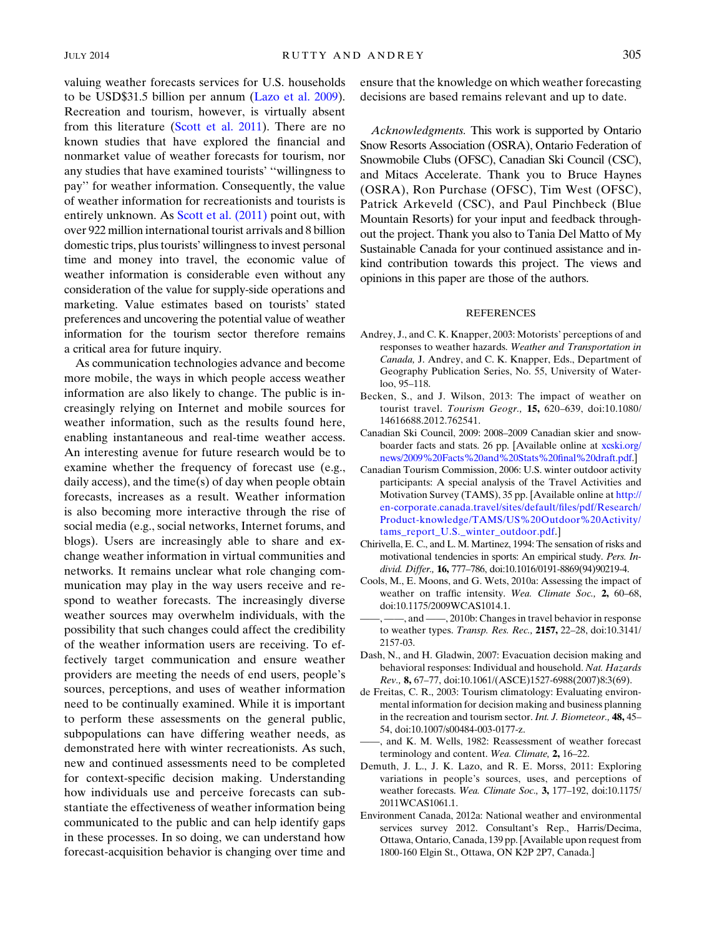valuing weather forecasts services for U.S. households to be USD\$31.5 billion per annum [\(Lazo et al. 2009\)](#page-13-2). Recreation and tourism, however, is virtually absent from this literature [\(Scott et al. 2011\)](#page-13-12). There are no known studies that have explored the financial and nonmarket value of weather forecasts for tourism, nor any studies that have examined tourists' ''willingness to pay'' for weather information. Consequently, the value of weather information for recreationists and tourists is entirely unknown. As [Scott et al. \(2011\)](#page-13-12) point out, with over 922 million international tourist arrivals and 8 billion domestic trips, plus tourists' willingness to invest personal time and money into travel, the economic value of weather information is considerable even without any consideration of the value for supply-side operations and marketing. Value estimates based on tourists' stated preferences and uncovering the potential value of weather information for the tourism sector therefore remains a critical area for future inquiry.

As communication technologies advance and become more mobile, the ways in which people access weather information are also likely to change. The public is increasingly relying on Internet and mobile sources for weather information, such as the results found here, enabling instantaneous and real-time weather access. An interesting avenue for future research would be to examine whether the frequency of forecast use (e.g., daily access), and the time(s) of day when people obtain forecasts, increases as a result. Weather information is also becoming more interactive through the rise of social media (e.g., social networks, Internet forums, and blogs). Users are increasingly able to share and exchange weather information in virtual communities and networks. It remains unclear what role changing communication may play in the way users receive and respond to weather forecasts. The increasingly diverse weather sources may overwhelm individuals, with the possibility that such changes could affect the credibility of the weather information users are receiving. To effectively target communication and ensure weather providers are meeting the needs of end users, people's sources, perceptions, and uses of weather information need to be continually examined. While it is important to perform these assessments on the general public, subpopulations can have differing weather needs, as demonstrated here with winter recreationists. As such, new and continued assessments need to be completed for context-specific decision making. Understanding how individuals use and perceive forecasts can substantiate the effectiveness of weather information being communicated to the public and can help identify gaps in these processes. In so doing, we can understand how forecast-acquisition behavior is changing over time and ensure that the knowledge on which weather forecasting decisions are based remains relevant and up to date.

Acknowledgments. This work is supported by Ontario Snow Resorts Association (OSRA), Ontario Federation of Snowmobile Clubs (OFSC), Canadian Ski Council (CSC), and Mitacs Accelerate. Thank you to Bruce Haynes (OSRA), Ron Purchase (OFSC), Tim West (OFSC), Patrick Arkeveld (CSC), and Paul Pinchbeck (Blue Mountain Resorts) for your input and feedback throughout the project. Thank you also to Tania Del Matto of My Sustainable Canada for your continued assistance and inkind contribution towards this project. The views and opinions in this paper are those of the authors.

### **REFERENCES**

- <span id="page-12-7"></span>Andrey, J., and C. K. Knapper, 2003: Motorists' perceptions of and responses to weather hazards. Weather and Transportation in Canada, J. Andrey, and C. K. Knapper, Eds., Department of Geography Publication Series, No. 55, University of Waterloo, 95–118.
- <span id="page-12-11"></span>Becken, S., and J. Wilson, 2013: The impact of weather on tourist travel. Tourism Geogr., 15, 620–639, doi:10.1080/ 14616688.2012.762541.
- <span id="page-12-4"></span>Canadian Ski Council, 2009: 2008–2009 Canadian skier and snowboarder facts and stats. 26 pp. [Available online at [xcski.org/](http://xcski.org/news/2009%20Facts%20and%20Stats%20final%20draft.pdf) [news/2009%20Facts%20and%20Stats%20final%20draft.pdf](http://xcski.org/news/2009%20Facts%20and%20Stats%20final%20draft.pdf).]
- <span id="page-12-5"></span>Canadian Tourism Commission, 2006: U.S. winter outdoor activity participants: A special analysis of the Travel Activities and Motivation Survey (TAMS), 35 pp. [Available online at [http://](http://en-corporate.canada.travel/sites/default/files/pdf/Research/Product-knowledge/TAMS/US%20Outdoor%20Activity/tams_report_U.S._winter_outdoor.pdf) [en-corporate.canada.travel/sites/default/files/pdf/Research/](http://en-corporate.canada.travel/sites/default/files/pdf/Research/Product-knowledge/TAMS/US%20Outdoor%20Activity/tams_report_U.S._winter_outdoor.pdf) [Product-knowledge/TAMS/US%20Outdoor%20Activity/](http://en-corporate.canada.travel/sites/default/files/pdf/Research/Product-knowledge/TAMS/US%20Outdoor%20Activity/tams_report_U.S._winter_outdoor.pdf) [tams\\_report\\_U.S.\\_winter\\_outdoor.pdf](http://en-corporate.canada.travel/sites/default/files/pdf/Research/Product-knowledge/TAMS/US%20Outdoor%20Activity/tams_report_U.S._winter_outdoor.pdf).]
- <span id="page-12-12"></span>Chirivella, E. C., and L. M. Martinez, 1994: The sensation of risks and motivational tendencies in sports: An empirical study. Pers. Individ. Differ., 16, 777–786, doi:10.1016/0191-8869(94)90219-4.
- <span id="page-12-8"></span>Cools, M., E. Moons, and G. Wets, 2010a: Assessing the impact of weather on traffic intensity. Wea. Climate Soc., 2, 60-68, doi:10.1175/2009WCAS1014.1.
- <span id="page-12-9"></span>——, ——, and ——, 2010b: Changes in travel behavior in response to weather types. Transp. Res. Rec., 2157, 22–28, doi:10.3141/ 2157-03.
- <span id="page-12-1"></span>Dash, N., and H. Gladwin, 2007: Evacuation decision making and behavioral responses: Individual and household. Nat. Hazards Rev., 8, 67–77, doi:10.1061/(ASCE)1527-6988(2007)8:3(69).
- <span id="page-12-6"></span>de Freitas, C. R., 2003: Tourism climatology: Evaluating environmental information for decision making and business planning in the recreation and tourism sector. Int. J. Biometeor., 48, 45– 54, doi:10.1007/s00484-003-0177-z.
- <span id="page-12-3"></span><span id="page-12-0"></span>——, and K. M. Wells, 1982: Reassessment of weather forecast terminology and content. Wea. Climate, 2, 16-22.
- Demuth, J. L., J. K. Lazo, and R. E. Morss, 2011: Exploring variations in people's sources, uses, and perceptions of weather forecasts. Wea. Climate Soc., 3, 177–192, doi:10.1175/ 2011WCAS1061.1.
- <span id="page-12-10"></span><span id="page-12-2"></span>Environment Canada, 2012a: National weather and environmental services survey 2012. Consultant's Rep., Harris/Decima, Ottawa, Ontario, Canada, 139 pp. [Available upon request from 1800-160 Elgin St., Ottawa, ON K2P 2P7, Canada.]